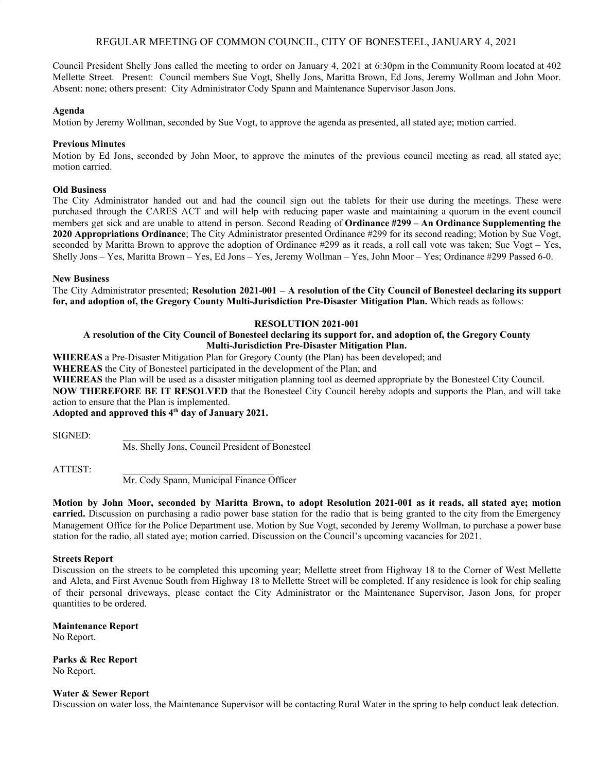# REGULAR MEETING OF COMMON COUNCIL, CITY OF BONESTEEL, JANUARY 4, 2021

Council President Shelly Jons called the meeting to order on January 4, 2021 at 6:30pm in the Community Room located at 402 Mellette Street. Present: Council members Sue Vogt, Shelly Jons, Maritta Brown, Ed Jons, Jeremy Wollman and John Moor. Absent: none; others present: City Administrator Cody Spann and Maintenance Supervisor Jason Jons.

# **Agenda**

Motion by Jeremy Wollman, seconded by Sue Vogt, to approve the agenda as presented, all stated aye; motion carried.

# **Previous Minutes**

Motion by Ed Jons, seconded by John Moor, to approve the minutes of the previous council meeting as read, all stated aye; motion carried.

## **Old Business**

The City Administrator handed out and had the council sign out the tablets for their use during the meetings. These were purchased through the CARES ACT and will help with reducing paper waste and maintaining a quorum in the event council members get sick and are unable to attend in person. Second Reading of **Ordinance #299 – An Ordinance Supplementing the 2020 Appropriations Ordinance**; The City Administrator presented Ordinance #299 for its second reading; Motion by Sue Vogt, seconded by Maritta Brown to approve the adoption of Ordinance #299 as it reads, a roll call vote was taken; Sue Vogt – Yes, Shelly Jons – Yes, Maritta Brown – Yes, Ed Jons – Yes, Jeremy Wollman – Yes, John Moor – Yes; Ordinance #299 Passed 6-0.

## **New Business**

The City Administrator presented; **Resolution 2021-001 – A resolution of the City Council of Bonesteel declaring its support for, and adoption of, the Gregory County Multi-Jurisdiction Pre-Disaster Mitigation Plan.** Which reads as follows:

# **RESOLUTION 2021-001**

# A resolution of the City Council of Bonesteel declaring its support for, and adoption of, the Gregory County **Multi-Jurisdiction Pre-Disaster Mitigation Plan.**

**WHEREAS** a Pre-Disaster Mitigation Plan for Gregory County (the Plan) has been developed; and

**WHEREAS** the City of Bonesteel participated in the development of the Plan; and

**WHEREAS** the Plan will be used as a disaster mitigation planning tool as deemed appropriate by the Bonesteel City Council.

**NOW THEREFORE BE IT RESOLVED** that the Bonesteel City Council hereby adopts and supports the Plan, and will take action to ensure that the Plan is implemented.

**Adopted and approved this 4 th day of January 2021.**

SIGNED:

Ms. Shelly Jons, Council President of Bonesteel

ATTEST:

Mr. Cody Spann, Municipal Finance Officer

Motion by John Moor, seconded by Maritta Brown, to adopt Resolution 2021-001 as it reads, all stated ave; motion **carried.** Discussion on purchasing a radio power base station for the radio that is being granted to the city from the Emergency Management Office for the Police Department use. Motion by Sue Vogt, seconded by Jeremy Wollman, to purchase a power base station for the radio, all stated aye; motion carried. Discussion on the Council's upcoming vacancies for 2021.

#### **Streets Report**

Discussion on the streets to be completed this upcoming year; Mellette street from Highway 18 to the Corner of West Mellette and Aleta, and First Avenue South from Highway 18 to Mellette Street will be completed. If any residence is look for chip sealing of their personal driveways, please contact the City Administrator or the Maintenance Supervisor, Jason Jons, for proper quantities to be ordered.

**Maintenance Report** No Report.

**Parks & Rec Report** No Report.

#### **Water & Sewer Report**

Discussion on water loss, the Maintenance Supervisor will be contacting Rural Water in the spring to help conduct leak detection.